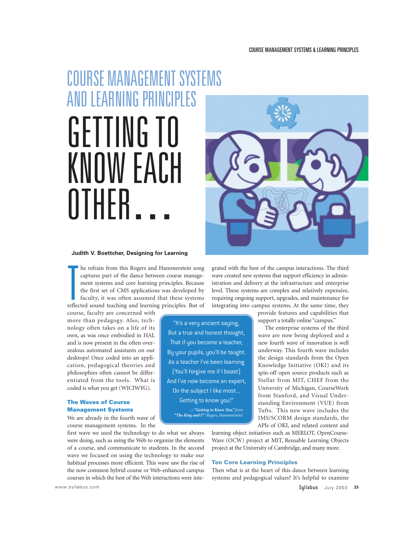# COURSE MANAGEMENT SYSTEMS AND LEARNING PRINCIPLES GETTING TO KNOW EACH **NTHFR**

#### **Judith V. Boettcher, Designing for Learning**

T<sub>reflee</sub> he refrain from this Rogers and Hammerstein song captures part of the dance between course management systems and core learning principles. Because the first set of CMS applications was developed by faculty, it was often assumed that these systems reflected sound teaching and learning principles. But of

course, faculty are concerned with more than pedagogy. Also, technology often takes on a life of its own, as was once embodied in HAL and is now present in the often overzealous automated assistants on our desktops! Once coded into an application, pedagogical theories and philosophies often cannot be differentiated from the tools. What is coded is what you get (WICIWYG).

### The Waves of Course Management Systems

We are already in the fourth wave of course management systems. In the

first wave we used the technology to do what we always were doing, such as using the Web to organize the elements of a course, and communicate to students. In the second wave we focused on using the technology to make our habitual processes more efficient. This wave saw the rise of the now common hybrid course or Web-enhanced campus courses in which the best of the Web interactions were inte-



grated with the best of the campus interactions. The third wave created new systems that support efficiency in administration and delivery at the infrastructure and enterprise level. These systems are complex and relatively expensive, requiring ongoing support, upgrades, and maintenance for integrating into campus systems. At the same time, they

> provide features and capabilities that support a totally online "campus."

> The enterprise systems of the third wave are now being deployed and a new fourth wave of innovation is well underway. This fourth wave includes the design standards from the Open Knowledge Initiative (OKI) and its spin-off open source products such as Stellar from MIT, CHEF from the University of Michigan, CourseWork from Stanford, and Visual Understanding Environment (VUE) from Tufts. This new wave includes the IMS/SCORM design standards, the APIs of OKI, and related content and

learning object initiatives such as MERLOT, OpenCourse-Ware (OCW) project at MIT, Reusable Learning Objects project at the University of Cambridge, and many more.

#### Ten Core Learning Principles

"It's a very ancient saying, But a true and honest thought, That if you become a teacher, By your pupils, you'll be taught. As a teacher I've been learning (You'll forgive me if I boast) And I've now become an expert, On the subject I like most... Getting to know you!" *—"Getting to Know You," from "The King and I" (Rogers, Hammerstein)* 

> Then what is at the heart of this dance between learning systems and pedagogical values? It's helpful to examine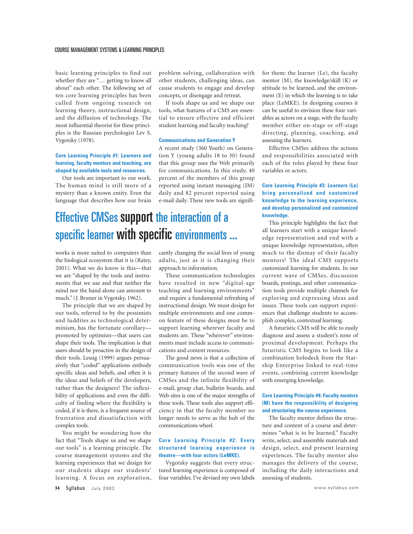#### COURSE MANAGEMENT SYSTEMS & LEARNING PRINCIPLES

basic learning principles to find out whether they are "… getting to know all about" each other. The following set of ten core learning principles has been culled from ongoing research on learning theory, instructional design, and the diffusion of technology. The most influential theorist for these principles is the Russian psychologist Lev S. Vygotsky (1978).

#### **Core Learning Principle #1: Learners and learning, faculty mentors and teaching, are shaped by available tools and resources.**

Our tools are important to our work. The human mind is still more of a mystery than a known entity. Even the language that describes how our brain problem solving, collaboration with other students, challenging ideas, can cause students to engage and develop concepts, or disengage and retreat.

If tools shape us and we shape our tools, what features of a CMS are essential to ensure effective and efficient student learning and faculty teaching?

#### **Communications and Generation Y**

A recent study (360 Youth) on Generation Y (young adults 18 to 30) found that this group uses the Web primarily for communications. In this study, 40 percent of the members of this group reported using instant messaging (IM) daily and 82 percent reported using e-mail daily. These new tools are signifi-

# Effective CMSes support the interaction of a specific learner with specific environments ...

works is more suited to computers than the biological ecosystem that it is (Ratey, 2001). What we do know is this—that we are "shaped by the tools and instruments that we use and that neither the mind nor the hand alone can amount to much." (J. Bruner in Vygotsky, 1962).

The principle that we are shaped by our tools, referred to by the pessimists and luddites as technological determinism, has the fortunate corollary promoted by optimists—that users can shape their tools. The implication is that users should be proactive in the design of their tools. Lessig (1999) argues persuasively that "coded" applications embody specific ideas and beliefs, and often it is the ideas and beliefs of the developers, rather than the designers! The inflexibility of applications and even the difficulty of finding where the flexibility is coded, if it is there, is a frequent source of frustration and dissatisfaction with complex tools.

You might be wondering how the fact that "Tools shape us and we shape our tools" is a learning principle. The course management systems and the learning experiences that we design for our students shape our students' learning. A focus on exploration, cantly changing the social lives of young adults, just as it is changing their approach to information.

These communication technologies have resulted in new "digital-age teaching and learning environments" and require a fundamental refreshing of instructional design. We must design for multiple environments and one common feature of these designs must be to support learning wherever faculty and students are. These "wherever" environments must include access to communications and content resources.

The good news is that a collection of communication tools was one of the primary features of the second wave of CMSes and the infinite flexibility of e-mail, group chat, bulletin boards, and Web sites is one of the major strengths of these tools. These tools also support efficiency in that the faculty member no longer needs to serve as the hub of the communications wheel.

#### **Core Learning Principle #2: Every structured learning experience is theatre—with four actors (LeMKE).**

Vygotsky suggests that every structured learning experience is composed of four variables. I've devised my own labels for them: the learner (Le), the faculty mentor (M), the knowledge/skill (K) or attitude to be learned, and the environment (E) in which the learning is to take place (LeMKE). In designing courses it can be useful to envision these four variables as actors on a stage, with the faculty member either on-stage or off-stage directing, planning, coaching, and assessing the learners.

Effective CMSes address the actions and responsibilities associated with each of the roles played by these four variables or actors.

#### **Core Learning Principle #3: Learners (Le) bring personalized and customized knowledge to the learning experience, and develop personalized and customized knowledge.**

This principle highlights the fact that all learners start with a unique knowledge representation and end with a unique knowledge representation, often much to the dismay of their faculty mentors! The ideal CMS supports customized learning for students. In our current wave of CMSes, discussion boards, postings, and other communication tools provide multiple channels for exploring and expressing ideas and issues. These tools can support experiences that challenge students to accomplish complex, contextual learning.

A futuristic CMS will be able to easily diagnose and assess a student's zone of proximal development. Perhaps the futuristic CMS begins to look like a combination holodeck from the Starship Enterprise linked to real-time events, combining current knowledge with emerging knowledge.

#### **Core Learning Principle #4: Faculty mentors (M) have the responsibility of designing and structuring the course experience.**

The faculty mentor defines the structure and content of a course and determines "what is to be learned." Faculty write, select, and assemble materials and design, select, and present learning experiences. The faculty mentor also manages the delivery of the course, including the daily interactions and assessing of students.